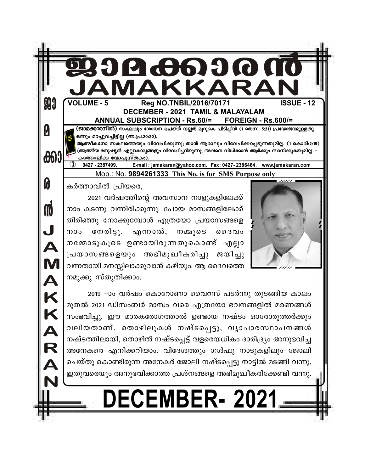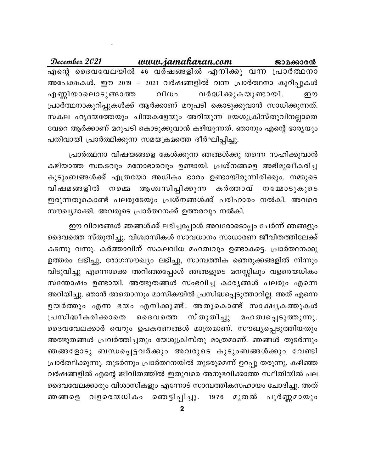www.jamakaran.com December 2021 ജാമക്കാരൻ എന്റെ ദൈവവേലയിൽ 46 വർഷങ്ങളിൽ എനിക്കു വന്ന പ്രാർത്ഥനാ അപേക്ഷകൾ, ഈ 2019 - 2021 വർഷങ്ങളിൽ വന്ന പ്രാർത്ഥനാ കുറിപ്പുകൾ എണ്ണിയാലൊടുങ്ങാത്ത വിധം വർദ്ധിക്കുകയുണ്ടായി. ഈ പ്രാർത്ഥനാകുറിപ്പുകൾക്ക് ആർക്കാണ് മറുപടി കൊടുക്കുവാൻ സാധിക്കുന്നത്. സകല ഹൃദയത്തേയും ചിന്തകളേയും അറിയുന്ന യേശുക്രിസ്തുവിനല്ലാതെ വേറെ ആർക്കാണ് മറുപടി കൊടുക്കുവാൻ കഴിയുന്നത്. ഞാനും എന്റെ ഭാര്യയും പതിവായി പ്രാർത്ഥിക്കുന്ന സമയക്രമത്തെ ദീർഘിപ്പിച്ചു.

പ്രാർത്ഥനാ വിഷയങ്ങളെ കേൾക്കുന്ന ഞങ്ങൾക്കു തന്നെ സഹിക്കുവാൻ കഴിയാത്ത സങ്കടവും മനോഭാരവും ഉണ്ടായി. പ്രശ്നങ്ങളെ അഭിമുഖീകരിച്ച കുടുംബങ്ങൾക്ക് എത്രയോ അധികം ഭാരം ഉണ്ടായിരുന്നിരിക്കും. നമ്മുടെ നമെെ ആശ്വസിപ്പിക്കുന്ന കർത്താവ് വിഷമങ്ങളിൽ നമ്മോടുകൂടെ ഇരുന്നതുകൊണ്ട് പലരുടേയും പ്രശ്നങ്ങൾക്ക് പരിഹാരം നൽകി. അവരെ സൗഖ്യമാക്കി. അവരുടെ പ്രാർത്ഥനക്ക് ഉത്തരവും നൽകി.

ഈ വിവരങ്ങൾ ഞങ്ങൾക്ക് ലഭിച്ചപ്പോൾ അവരോടൊപ്പം ചേർന്ന് ഞങ്ങളും ദൈവത്തെ സ്തുതിച്ചു. വിശ്വാസികൾ സാവധാനം സാധാരണ ജീവിതത്തിലേക്ക് കടന്നു വന്നു. കർത്താവിന് സകലവിധ മഹത്വവും ഉണ്ടാകട്ടെ. പ്രാർത്ഥനക്കു ഉത്തരം ലഭിച്ചു, രോഗസൗഖ്യം ലഭിച്ചു, സാമ്പത്തിക ഞെരുക്കങ്ങളിൽ നിന്നും വിടുവിച്ചു എന്നൊക്കെ അറിഞ്ഞപ്പോൾ ഞങ്ങളുടെ മനസ്സിലും വളരെയധികം സന്തോഷം ഉണ്ടായി. അത്ഭുതങ്ങൾ സംഭവിച്ച കാര്യങ്ങൾ പലരും എന്നെ അറിയിച്ചു. ഞാൻ അതൊന്നും മാസികയിൽ പ്രസിദ്ധപ്പെടുത്താറില്ല. അത് എന്നെ ഉയർത്തും എന്ന ഭയം എനിക്കുണ്ട്. അതുകൊണ്ട് സാക്ഷൃകത്തുകൾ സ്തുതിച്ചു മഹത്വപ്പെടുത്തുന്നു. പ്രസിദ്ധീകരിക്കാതെ ൈദവത്തെ ദൈവവേലക്കാർ വെറും ഉപകരണങ്ങൾ മാത്രമാണ്. സൗഖ്യപ്പെടുത്തിയതും അത്ഭുതങ്ങൾ പ്രവർത്തിച്ചതും യേശുക്രിസ്തു മാത്രമാണ്. ഞങ്ങൾ തുടർന്നും ഞങ്ങളോടു ബന്ധപ്പെട്ടവർക്കും അവരുടെ കുടുംബങ്ങൾക്കും വേണ്ടി പ്രാർത്ഥിക്കുന്നു. തുടർന്നും പ്രാർത്ഥനയിൽ തുടരുമെന്ന് ഉറപ്പു തരുന്നു. കഴിഞ്ഞ വർഷങ്ങളിൽ എന്റെ ജീവിതത്തിൽ ഇതുവരെ അനുഭവിക്കാത്ത സ്ഥിതിയിൽ പല ദൈവവേലക്കാരും വിശാസികളും എന്നോട് സാമ്പത്തികസഹായം ചോദിച്ചു. അത് ഞങ്ങളെ വളരെയധികം ഞെട്ടിപ്പിച്ചു. 1976 മുതൽ പൂർണ്ണമായും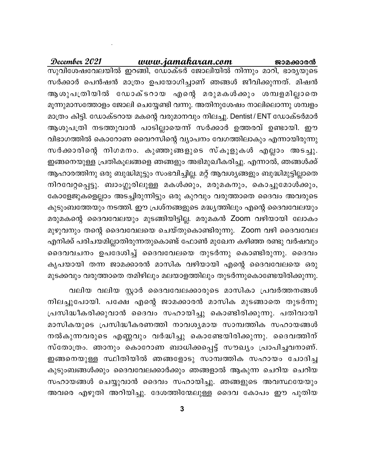www.jamakaran.com December 2021 ജാമക്കാരൻ സുവിശേഷവേലയിൽ ഇറങ്ങി, ഡോക്ടർ ജോലിയിൽ നിന്നും മാറി, ഭാര്യയുടെ സർക്കാർ പെൻഷൻ മാത്രം ഉപയോഗിച്ചാണ് ഞങ്ങൾ ജീവിക്കുന്നത്. മിഷൻ ആശുപത്രിയിൽ ഡോക്ടറായ എന്റെ മരുമകൾക്കും ശമ്പളമില്ലാതെ മൂന്നുമാസത്തോളം ജോലി ചെയ്യേണ്ടി വന്നു. അതിനുശേഷം നാലിലൊന്നു ശമ്പളം മാത്രം കിട്ടി. ഡോക്ടറായ മകന്റെ വരുമാനവും നിലച്ചു. Dentist / ENT ഡോക്ടർമാർ ആശുപത്രി നടത്തുവാൻ പാടില്ലായെന്ന് സർക്കാർ ഉത്തരവ് ഉണ്ടായി. ഈ വിഭാഗത്തിൽ കൊറോണ വൈറസിന്റെ വ്യാപനം വേഗത്തിലാകും എന്നായിരുന്നു സർക്കാരിന്റെ നിഗമനം. കുഞ്ഞുങ്ങളുടെ സ്കൂളുകൾ എല്ലാം അടച്ചു. ഇങ്ങനെയുള്ള പ്രതികൂലങ്ങളെ ഞങ്ങളും അഭിമുഖീകരിച്ചു. എന്നാൽ, ഞങ്ങൾക്ക് ആഹാരത്തിനു ഒരു ബുദ്ധിമുട്ടും സംഭവിച്ചില്ല. മറ്റ് ആവശ്യങ്ങളും ബുദ്ധിമുട്ടില്ലാതെ നിറവേറ്റപ്പെട്ടു. ബാംഗ്ലൂരിലുള്ള മകൾക്കും, മരുമകനും, കൊച്ചുമോൾക്കും, കോളേജുകളെല്ലാം അടച്ചിരുന്നിട്ടും ഒരു കുറവും വരുത്താതെ ദൈവം അവരുടെ കുടുംബത്തേയും നടത്തി. ഈ പ്രശ്നങ്ങളുടെ മദ്ധ്യത്തിലും എന്റെ ദൈവവേലയും മരുമകന്റെ ദൈവവേലയും മുടങ്ങിയിട്ടില്ല. മരുമകൻ Zoom വഴിയായി ലോകം മുഴുവനും തന്റെ ദൈവവേലയെ ചെയ്തുകൊണ്ടിരുന്നു. Zoom വഴി ദൈവവേല എനിക്ക് പരിചയമില്ലാതിരുന്നതുകൊണ്ട് ഫോൺ മുഖേന കഴിഞ്ഞ രണ്ടു വർഷവും ദൈവവചനം ഉപദേശിച്ച് ദൈവവേലയെ തുടർന്നു കൊണ്ടിരുന്നു. ദൈവം കൃപയായി തന്ന ജാമക്കാരൻ മാസിക വഴിയായി എന്റെ ദൈവവേലയെ ഒരു മുടക്കവും വരുത്താതെ തമിഴിലും മലയാളത്തിലും തുടർന്നുകൊണ്ടേയിരിക്കുന്നു.

വലിയ വലിയ സ്റ്റാർ ദൈവവേലക്കാരുടെ മാസികാ പ്രവർത്തനങ്ങൾ നിലച്ചുപോയി. പക്ഷേ എന്റെ ജാമക്കാരൻ മാസിക മുടങ്ങാതെ തുടർന്നു പ്രസിദ്ധീകരിക്കുവാൻ ദൈവം സഹായിച്ചു കൊണ്ടിരിക്കുന്നു. പതിവായി മാസികയുടെ പ്രസിദ്ധീകരണത്തി നാവശ്യമായ സാമ്പത്തിക സഹായങ്ങൾ നൽകുന്നവരുടെ എണ്ണവും വർദ്ധിച്ചു കൊണ്ടേയിരിക്കുന്നു. ദൈവത്തിന് സ്തോത്രം. ഞാനും കൊറോണ ബാധിക്കപ്പെട്ട് സൗഖ്യം പ്രാപിച്ചവനാണ്. ഇങ്ങനെയുള്ള സ്ഥിതിയിൽ ഞങ്ങളോടു സാമ്പത്തിക സഹായം ചോദിച്ച കുടുംബങ്ങൾക്കും ദൈവവേലക്കാർക്കും ഞങ്ങളാൽ ആകുന്ന ചെറിയ ചെറിയ സഹായങ്ങൾ ചെയ്യുവാൻ ദൈവം സഹായിച്ചു. ഞങ്ങളുടെ അവസ്ഥയേയും അവരെ എഴുതി അറിയിച്ചു. ദേശത്തിന്മേലുള്ള ദൈവ കോപം ഈ പുതിയ

3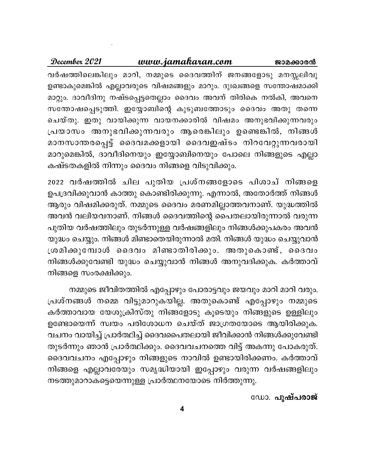## December 2021 <u>www.jamakaran.com</u> ജാമ<u>ക്കാരൻ</u> വർഷത്തിലെങ്കിലും മാറി, നമ്മുടെ ദൈവത്തിന് ജനങ്ങളോടു മനസ്സലിവു ഉണ്ടാകുമെങ്കിൽ എല്ലാവരുടെ വിഷമങ്ങളും മാറും. ദുഃഖങ്ങളെ സന്തോഷമാക്കി മാറ്റും. ദാവീദിനു നഷ്ടപ്പെട്ടതെല്ലാം ദൈവം അവന് തിരികെ നൽകി, അവനെ സന്തോഷപ്പെടുത്തി. ഇയ്യോബിന്റെ കുടുബത്തോടും ദൈവം അതു തന്നെ ചെയ്തു. ഇതു വായിക്കുന്ന വായനക്കാരിൽ വിഷമം അനുഭവിക്കുന്നവരും പ്രയാസം അനുഭവിക്കുന്നവരും ആരെങ്കിലും ഉണ്ടെങ്കിൽ, നിങ്ങൾ മാനസാന്തരപ്പെട്ട് ദൈവമക്കളായി ദൈവഇഷ്ടം നിറവേറ്റുന്നവരായി മാറുമെങ്കിൽ, ദാവീദിനെയും ഇയ്യോബിനെയും പോലെ നിങ്ങളുടെ എല്ലാ കഷ്ടതകളിൽ നിന്നും ദൈവം നിങ്ങളെ വിടുവിക്കും.

2022 വർഷത്തിൽ ചില പുതിയ പ്രശ്നങ്ങളോടെ പിശാച് നിങ്ങളെ ഉപദ്രവിക്കുവാൻ കാത്തു കൊണ്ടിരിക്കുന്നു. എന്നാൽ, അതോർത്ത് നിങ്ങൾ ആരും വിഷമിക്കരുത്. നമ്മുടെ ദൈവം മരണമില്ലാത്തവനാണ്. യുദ്ധത്തിൽ അവൻ വലിയവനാണ്. നിങ്ങൾ ദൈവത്തിന്റെ പൈതലായിരുന്നാൽ വരുന്ന പുതിയ വർഷത്തിലും തുടർന്നുള്ള വർഷങ്ങളിലും നിങ്ങൾക്കുപകരം അവൻ യുദ്ധം ചെയ്യും. നിങ്ങൾ മിണ്ടാതെയിരുന്നാൽ മതി. നിങ്ങൾ യുദ്ധം ചെയ്യുവാൻ ശ്രമിക്കുമ്പോൾ ദൈവം മിണ്ടാതിരിക്കും. അതുകൊണ്ട്, ദൈവം നിങ്ങൾക്കുവേണ്ടി യുദ്ധം ചെയ്യുവാൻ നിങ്ങൾ അനുവദിക്കുക. കർത്താവ് നിങ്ങളെ സംരക്ഷിക്കും.

നമ്മുടെ ജീവിതത്തിൽ എപ്പോഴും പോരാട്ടവും ജയവും മാറി മാറി വരും. പ്രശ്നങ്ങൾ നമ്മെ വിട്ടുമാറുകയില്ല. അതുകൊണ്ട് എപ്പോഴും നമ്മുടെ കർത്താവായ യേശുക്രിസ്തു നിങ്ങളോടു കൂടെയും നിങ്ങളുടെ ഉള്ളിലും ഉണ്ടോയെന്ന് സ്വയം പരിശോധന ചെയ്ത് ജാഗ്രതയോടെ ആയിരിക്കുക. വചനം വായിച്ച് പ്രാർത്ഥിച്ച് ദൈവപൈതലായി ജീവിക്കാൻ നിങ്ങൾക്കുവേണ്ടി തുടർന്നും ഞാൻ പ്രാർത്ഥിക്കും. ദൈവവചനത്തെ വിട്ട് അകന്നു പോകരുത്. ദൈവവചനം എപ്പോഴും നിങ്ങളുടെ നാവിൽ ഉണ്ടായിരിക്കണം. കർത്താവ് നിങ്ങളെ എല്ലാവരേയും സമൃദ്ധിയായി ഇപ്പോഴും വരുന്ന വർഷങ്ങളിലും നടത്തുമാറാകട്ടെയെന്നുള്ള പ്രാർത്ഥനയോടെ നിർത്തുന്നു.

ഡോ. പുഷ്പരാജ്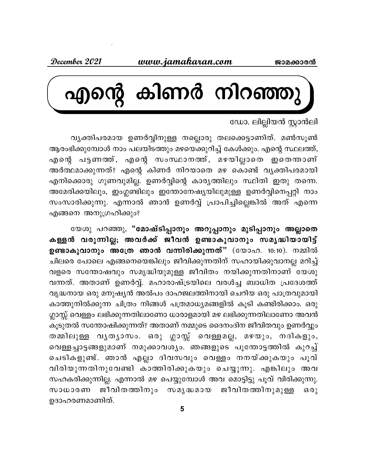

# ഡോ. ലില്ലിയൻ സ്റ്റാൻലി

വൃക്തിപരമായ ഉണർവ്വിനുള്ള നല്ലൊരു തലക്കെട്ടാണിത്. മൺസൂൺ ആരംഭിക്കുമ്പോൾ നാം പലയിടത്തും മഴയെക്കുറിച്ച് കേൾക്കും. എന്റെ സ്ഥലത്ത്, എന്റെ പട്ടണത്ത്, എന്റെ സംസ്ഥാനത്ത്, മഴയില്ലാതെ ഇതെന്താണ് അർത്ഥമാക്കുന്നത്? എന്റെ കിണർ നിറയാതെ മഴ കൊണ്ട് വൃക്തിപരമായി എനിക്കൊരു ഗുണവുമില്ല. ഉണർവ്വിന്റെ കാര്യത്തിലും സ്ഥിതി ഇതു തന്നെ. അമേരിക്കയിലും, ഇംഗ്ലണ്ടിലും ഇന്തോനേഷ്യയിലുമുള്ള ഉണർവ്വിനെപ്പറ്റി നാം സംസാരിക്കുന്നു. എന്നാൽ ഞാൻ ഉണർവ്വ് പ്രാപിച്ചില്ലെങ്കിൽ അത് എന്നെ എങ്ങനെ അനുഗ്രഹിക്കും?

യേശു പറഞ്ഞു, "മോഷ്ടിപ്പാനും അറുപ്പാനും മുടിപ്പാനും അല്ലാതെ കള്ളൻ വരുന്നില്ല; അവർക്ക് ജീവൻ ഉണ്ടാകുവാനും സമൃദ്ധിയായിട്ട് ഉണ്ടാകുവാനും അത്രേ ഞാൻ വന്നിരിക്കുന്നത്" (യോഹ. 10:10). നമ്മിൽ ചിലരെ പോലെ എങ്ങനെയെങ്കിലും ജീവിക്കുന്നതിന് സഹായിക്കുവാനല്ല മറിച്ച് വളരെ സന്തോഷവും സമൃദ്ധിയുമുള്ള ജീവിതം നയിക്കുന്നതിനാണ് യേശു വന്നത്. അതാണ് ഉണർവ്വ്. മഹാരാഷ്ട്രയിലെ വരൾച്ച ബാധിത പ്രദേശത്ത് വൃദ്ധനായ ഒരു മനുഷ്യൻ അൽപം ദാഹജലത്തിനായി ചെറിയ ഒരു പാത്രവുമായി കാത്തുനിൽക്കുന്ന ചിത്രം നിങ്ങൾ പത്രമാധ്യമങ്ങളിൽ കൂടി കണ്ടിരിക്കാം. ഒരു ഗ്ലാസ്സ് വെള്ളം ലഭിക്കുന്നതിലാണോ ധാരാളമായി മഴ ലഭിക്കുന്നതിലാണോ അവൻ കൂടുതൽ സന്തോഷിക്കുന്നത്? അതാണ് നമ്മുടെ ദൈനംദിന ജീവിതവും ഉണർവ്വും തമ്മിലുള്ള വൃതൃാസം. ഒരു ഗ്ലാസ്സ് വെള്ളമല്ല, മഴയും, നദികളും, വെള്ളച്ചാട്ടങ്ങളുമാണ് നമുക്കാവശ്യം. ഞങ്ങളുടെ പൂന്തോട്ടത്തിൽ കുറച്ച് ചെടികളുണ്ട്. ഞാൻ എല്ലാ ദിവസവും വെള്ളം നനയ്ക്കുകയും പൂവ് വിരിയുന്നതിനുവേണ്ടി കാത്തിരിക്കുകയും ചെയ്യുന്നു. എങ്കിലും അവ സഹകരിക്കുന്നില്ല. എന്നാൽ മഴ പെയ്യുമ്പോൾ അവ മൊട്ടിട്ടു പൂവ് വിരിക്കുന്നു. ജീവിതത്തിനും സമൃദ്ധമായ ജീവിതത്തിനുമുള്ള  $630$ സാധാരണ ഉദാഹരണമാണിത്.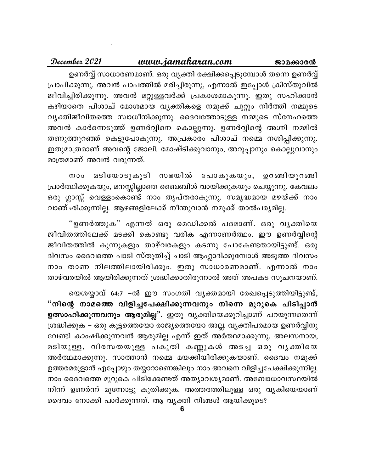#### December 2021 www.jamakaran.com ജാമക്കാരൻ

ഉണർവ്വ് സാധാരണമാണ്. ഒരു വ്യക്തി രക്ഷിക്കപ്പെടുമ്പോൾ തന്നെ ഉണർവ്വ് പ്രാപിക്കുന്നു. അവൻ പാപത്തിൽ മരിച്ചിരുന്നു, എന്നാൽ ഇപ്പോൾ ക്രിസ്തുവിൽ ജീവിച്ചിരിക്കുന്നു. അവൻ മറ്റുള്ളവർക്ക് പ്രകാശമാകുന്നു. ഇതു സഹിക്കാൻ കഴിയാതെ പിശാച് മോശമായ വൃക്തികളെ നമുക്ക് ചുറ്റും നിർത്തി നമ്മുടെ വൃക്തിജീവിതത്തെ സ്വാധീനിക്കുന്നു. ദൈവത്തോടുള്ള നമ്മുടെ സ്നേഹത്തെ അവൻ കാർന്നെടുത്ത് ഉണർവ്വിനെ കൊല്ലുന്നു. ഉണർവ്വിന്റെ അഗ്നി നമ്മിൽ തണുത്തുറഞ്ഞ് കെട്ടുപോകുന്നു. അപ്രകാരം പിശാച് നമ്മെ നശിപ്പിക്കുന്നു. ഇതുമാത്രമാണ് അവന്റെ ജോലി. മോഷ്ടിക്കുവാനും, അറുപ്പാനും കൊല്ലുവാനും മാത്രമാണ് അവൻ വരുന്നത്.

നാം മടിയോടുകൂടി സഭയിൽ പോകുകയും, ഉറങ്ങിയുറങ്ങി പ്രാർത്ഥിക്കുകയും, മനസ്സില്ലാതെ ബൈബിൾ വായിക്കുകയും ചെയ്യുന്നു. കേവലം ഒരു ഗ്ലാസ്സ് വെള്ളംകൊണ്ട് നാം തൃപ്തരാകുന്നു. സമൃദ്ധമായ മഴയ്ക്ക് നാം വാഞ്ഛിക്കുന്നില്ല. ആഴങ്ങളിലേക്ക് നീന്തുവാൻ നമുക്ക് താൽപര്യമില്ല.

"ഉണർത്തുക" എന്നത് ഒരു മെഡിക്കൽ പദമാണ്. ഒരു വൃക്തിയെ ജീവിതത്തിലേക്ക് മടക്കി കൊണ്ടു വരിക എന്നാണർത്ഥം. ഈ ഉണർവ്വിന്റെ ജീവിതത്തിൽ കുന്നുകളും താഴ്വരകളും കടന്നു പോകേണ്ടതായിട്ടുണ്ട്. ഒരു ദിവസം ദൈവത്തെ പാടി സ്തുതിച്ച് ചാടി ആഹ്ലാദിക്കുമ്പോൾ അടുത്ത ദിവസം നാം താണ നിലത്തിലായിരിക്കും. ഇതു സാധാരണമാണ്. എന്നാൽ നാം താഴ്വരയിൽ ആയിരിക്കുന്നത് ശ്രദ്ധിക്കാതിരുന്നാൽ അത് അപകട സൂചനയാണ്.

യെശയ്യാവ് 64:7 –ൽ ഈ സംഗതി വൃക്തമായി രേഖപ്പെടുത്തിയിട്ടുണ്ട്, "നിന്റെ നാമത്തെ വിളിച്ചപേക്ഷിക്കുന്നവനും നിന്നെ മുറുകെ പിടിപ്പാൻ ഉത്സാഹിക്കുന്നവനും ആരുമില്ല". ഇതു വൃക്തിയെക്കുറിച്ചാണ് പറയുന്നതെന്ന് ശ്രദ്ധിക്കുക – ഒരു കൂട്ടത്തെയോ രാജ്യത്തെയോ അല്ല. വ്യക്തിപരമായ ഉണർവ്വിനു വേണ്ടി കാംഷിക്കുന്നവൻ ആരുമില്ല എന്ന് ഇത് അർത്ഥമാക്കുന്നു. അലസനായ, മടിയുള്ള, വിരസതയുള്ള പകുതി കണ്ണുകൾ അടച്ച ഒരു വൃക്തിയെ അർത്ഥമാക്കുന്നു. സാത്താൻ നമ്മെ മയക്കിയിരിക്കുകയാണ്. ദൈവം നമുക്ക് ഉത്തരമരുളാൻ എപ്പോഴും തയ്യാറാണെങ്കിലും നാം അവനെ വിളിച്ചപേക്ഷിക്കുന്നില്ല. നാം ദൈവത്തെ മുറുകെ പിടിക്കേണ്ടത് അത്യാവശ്യമാണ്. അബോധാവസ്ഥയിൽ നിന്ന് ഉണർന്ന് മുന്നോട്ടു കുതിക്കുക. അത്തരത്തിലുള്ള ഒരു വൃകിയെയാണ് ദൈവം നോക്കി പാർക്കുന്നത്. ആ വ്യക്തി നിങ്ങൾ ആയിക്കൂടെ?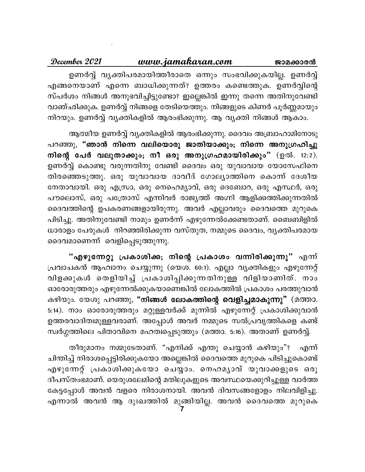#### <u>www.jamakaran.com</u> December 2021 ജാമക്കാരൻ

ഉണർവ്വ് വ്യക്തിപരമായിത്തീരാതെ ഒന്നും സംഭവിക്കുകയില്ല. ഉണർവ്വ് എങ്ങനെയാണ് എന്നെ ബാധിക്കുന്നത്? ഉത്തരം കണ്ടെത്തുക. ഉണർവ്വിന്റെ സ്പർശം നിങ്ങൾ അനുഭവിച്ചിട്ടുണ്ടോ? ഇല്ലെങ്കിൽ ഇന്നു തന്നെ അതിനുവേണ്ടി വാഞ്ഛിക്കുക. ഉണർവ്വ് നിങ്ങളെ തേടിയെത്തും. നിങ്ങളുടെ കിണർ പൂർണ്ണമായും നിറയും. ഉണർവ്വ് വ്യക്തികളിൽ ആരംഭിക്കുന്നു. ആ വ്യക്തി നിങ്ങൾ ആകാം.

ആത്മീയ ഉണർവ്വ് വ്യക്തികളിൽ ആരംഭിക്കുന്നു. ദൈവം അബ്രാഹാമിനോടു

പറഞ്ഞു, "ഞാൻ നിന്നെ വലിയൊരു ജാതിയാക്കും; നിന്നെ അനുഗ്രഹിച്ചു നിന്റെ പേർ വലുതാക്കും; നീ ഒരു അനുഗ്രഹമായിരിക്കും" (ഉൽ. 12:2). ഉണർവ്വ് കൊണ്ടു വരുന്നതിനു വേണ്ടി ദൈവം ഒരു യുവാവായ യോസേഫിനെ തിരഞ്ഞെടുത്തു. ഒരു യുവാവായ ദാവീദ് ഗോല്യാത്തിനെ കൊന്ന് ദേശീയ നേതാവായി. ഒരു എസ്രാ, ഒരു നെഹെമ്യാവ്, ഒരു ദെബോറ, ഒരു എസ്ഥർ, ഒരു പൗലൊസ്, ഒരു പത്രോസ് എന്നിവർ രാജ്യത്ത് അഗ്നി ആളിക്കത്തിക്കുന്നതിൽ ദൈവത്തിന്റെ ഉപകരണങ്ങളായിരുന്നു. അവർ എല്ലാവരും ദൈവത്തെ മുറുകെ പിടിച്ചു. അതിനുവേണ്ടി നാമും ഉണർന്ന് എഴുന്നേൽക്കേണ്ടതാണ്. ബൈബിളിൽ ധാരാളം പേരുകൾ നിറഞ്ഞിരിക്കുന്ന വസ്തുത, നമ്മുടെ ദൈവം, വൃക്തിപരമായ ദൈവമാണെന്ന് വെളിപ്പെടുത്തുന്നു.

"എഴുന്നേറ്റു പ്രകാശിക്ക; നിന്റെ പ്രകാശം <mark>വന്നിരി</mark>ക്കുന്നു" എന്ന് പ്രവാചകൻ ആഹ്വാനം ചെയ്യുന്നു (യെശ. 60:1). എല്ലാ വ്യക്തികളും എഴുന്നേറ്റ് വിളക്കുകൾ തെളിയിച്ച് പ്രകാശിപ്പിക്കുന്നതിനുള്ള വിളിയാണിത്. നാം ഓരോരുത്തരും എഴുന്നേൽക്കുകയാണെങ്കിൽ ലോകത്തിൽ പ്രകാശം പരത്തുവാൻ കഴിയും. യേശു പറഞ്ഞു, "നിങ്ങൾ ലോകത്തിന്റെ വെളിച്ചമാകുന്നു" (മത്താ. 5:14). നാം ഓരോരുത്തരും മറ്റുള്ളവർക്ക് മുന്നിൽ എഴുന്നേറ്റ് പ്രകാശിക്കുവാൻ ഉത്തരവാദിത്വമുള്ളവരാണ്. അപ്പോൾ അവർ നമ്മുടെ സൽപ്രവൃത്തികളെ കണ്ട് സ്വർഗ്ഗത്തിലെ പിതാവിനെ മഹത്വപ്പെടുത്തും (മത്താ. 5:16). അതാണ് ഉണർവ്വ്.

തീരുമാനം നമ്മുടേതാണ്. "എനിക്ക് എന്തു ചെയ്യാൻ കഴിയും"? എന്ന് ചിന്തിച്ച് നിരാശപ്പെട്ടിരിക്കുകയോ അല്ലെങ്കിൽ ദൈവത്തെ മുറുകെ പിടിച്ചുകൊണ്ട് എഴുന്നേറ്റ് പ്രകാശിക്കുകയോ ചെയ്യാം. നെഹമൃാവ് യുവാക്കളുടെ ഒരു ദീപസ്തംഭമാണ്. യെരുശലേമിന്റെ മതിലുകളുടെ അവസ്ഥയെക്കുറിച്ചുള്ള വാർത്ത കേട്ടപ്പോൾ അവൻ വളരെ നിരാശനായി. അവൻ ദിവസങ്ങളോളം നിലവിളിച്ചു. എന്നാൽ അവൻ ആ ദുഃഖത്തിൽ മുള്ങിയില്ല. അവൻ ദൈവത്തെ മുറുകെ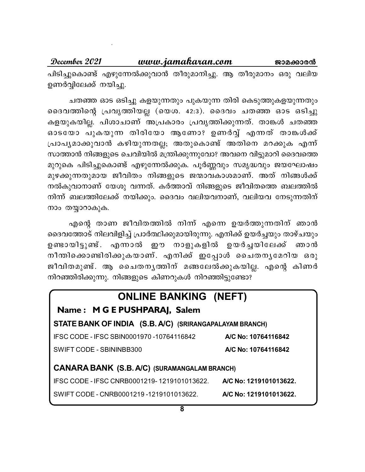www.jamakaran.com December 2021 ജാമക്കാരൻ പിടിച്ചുകൊണ്ട് എഴുന്നേൽക്കുവാൻ തീരുമാനിച്ചു. ആ തീരുമാനം ഒരു വലിയ ഉണർവ്വിലേക്ക് നയിച്ചു.

ചതഞ്ഞ ഓട ഒടിച്ചു കളയുന്നതും പുകയുന്ന തിരി കെടുത്തുകളയുന്നതും ദൈവത്തിന്റെ പ്രവൃത്തിയല്ല (യെശ. 42:3). ദൈവം ചതഞ്ഞ ഓട ഒടിച്ചു കളയുകയില്ല. പിശാചാണ് അപ്രകാരം പ്രവൃത്തിക്കുന്നത്. താങ്കൾ ചതഞ്ഞ ഓടയോ പുകയുന്ന തിരിയോ ആണോ? ഉണർവ്വ് എന്നത് താങ്കൾക്ക് പ്രാപൃമാക്കുവാൻ കഴിയുന്നതല്ല; അതുകൊണ്ട് അതിനെ മറക്കുക എന്ന് സാത്താൻ നിങ്ങളുടെ ചെവിയിൽ മന്ത്രിക്കുന്നുവോ? അവനെ വിട്ടുമാറി ദൈവത്തെ മുറുകെ പിടിച്ചുകൊണ്ട് എഴുന്നേൽക്കുക. പൂർണ്ണവും സമൃദ്ധവും ജയഘോഷം മുഴക്കുന്നതുമായ ജീവിതം നിങ്ങളുടെ ജന്മാവകാശമാണ്. അത് നിങ്ങൾക്ക് നൽകുവാനാണ് യേശു വന്നത്. കർത്താവ് നിങ്ങളുടെ ജീവിതത്തെ ബലത്തിൽ നിന്ന് ബലത്തിലേക്ക് നയിക്കും. ദൈവം വലിയവനാണ്, വലിയവ നേടുന്നതിന് നാം തയ്യാറാകുക.

എന്റെ താണ ജീവിതത്തിൽ നിന്ന് എന്നെ ഉയർത്തുന്നതിന് ഞാൻ ദൈവത്തോട് നിലവിളിച്ച് പ്രാർത്ഥിക്കുമായിരുന്നു. എനിക്ക് ഉയർച്ചയും താഴ്ചയും ഉണ്ടായിട്ടുണ്ട്. എന്നാൽ ഈ നാളുകളിൽ ഉയർച്ചയിലേക്ക് ഞാൻ നീന്തിക്കൊണ്ടിരിക്കുകയാണ്. എനിക്ക് ഇപ്പോൾ ചൈതനൃമേറിയ ഒരു ജീവിതമുണ്ട്. ആ ചൈതനൃത്തിന് മങ്ങലേൽക്കുകയില്ല. എന്റെ കിണർ നിറഞ്ഞിരിക്കുന്നു. നിങ്ങളുടെ കിണറുകൾ നിറഞ്ഞിട്ടുണ്ടോ?

| <b>ONLINE BANKING (NEFT)</b>                            |                        |
|---------------------------------------------------------|------------------------|
| Name: M G E PUSHPARAJ, Salem                            |                        |
| STATE BANK OF INDIA (S.B. A/C) (SRIRANGAPALAYAM BRANCH) |                        |
| IFSC CODE - IFSC SBIN0001970 -10764116842               | A/C No: 10764116842    |
| SWIFT CODE - SBININBB300                                | A/C No: 10764116842    |
| <b>CANARA BANK (S.B. A/C) (SURAMANGALAM BRANCH)</b>     |                        |
| IFSC CODE - IFSC CNRB0001219-1219101013622.             | A/C No: 1219101013622. |
| SWIFT CODE - CNRB0001219 -1219101013622.                | A/C No: 1219101013622. |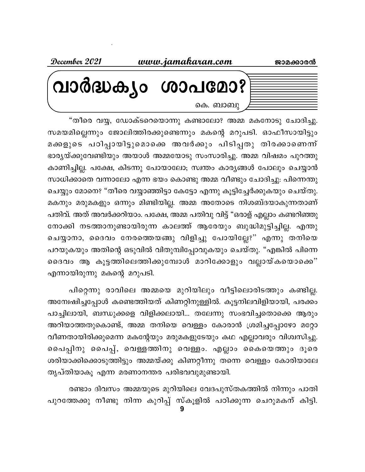ജാമക്കാരൻ

<u>www.jamakaran.com</u>

December 2021

വാർദ്ധക്യം ശാപമോ? കെ. ബാബു

"തീരെ വയ്യ, ഡോക്ടറെയൊന്നു കണ്ടാലോ? അമ്മ മകനോടു ചോദിച്ചു. സമയമില്ലെന്നും ജോലിത്തിരക്കുണ്ടെന്നും മകന്റെ മറുപടി. ഓഫീസായിട്ടും മക്കളുടെ പഠിപ്പായിട്ടുമൊക്കെ അവർക്കും പിടിപ്പതു തിരക്കാണെന്ന് ഭാര്യയ്ക്കുവേണ്ടിയും അയാൾ അമ്മയോടു സംസാരിച്ചു. അമ്മ വിഷമം പുറത്തു കാണിച്ചില്ല. പക്ഷേ, കിടന്നു പോയാലോ; സ്വന്തം കാര്യങ്ങൾ പോലും ചെയ്യാൻ സാധിക്കാതെ വന്നാലോ എന്ന ഭയം കൊണ്ടു അമ്മ വീണ്ടും ചോദിച്ചു: പിന്നെന്തു ചെയ്യും മോനെ? "തീരെ വയ്യാഞ്ഞിട്ടാ കേട്ടോ എന്നു കൂട്ടിച്ചേർക്കുകയും ചെയ്തു. മകനും മരുമകളും ഒന്നും മിണ്ടിയില്ല. അമ്മ അതോടെ നിശബ്ദയാകുന്നതാണ് പതിവ്. അത് അവർക്കറിയാം. പക്ഷേ, അമ്മ പതിവു വിട്ട് "ഒരാള് എല്ലാം കണ്ടറിഞ്ഞു നോക്കി നടത്താനുണ്ടായിരുന്ന കാലത്ത് ആരേയും ബുദ്ധിമുട്ടിച്ചില്ല. എന്തു ചെയ്യാനാ, ദൈവം നേരത്തെയങ്ങു വിളിച്ചു പോയില്ലേ?" എന്നു തനിയെ പറയുകയും അതിന്റെ ഒടുവിൽ വിതുമ്പിപ്പോവുകയും ചെയ്തു. "എങ്കിൽ പിന്നെ ദൈവം ആ കൂട്ടത്തിലെത്തിക്കുമ്പോൾ മാറിക്കോളും വല്ലായ്കയൊക്കെ" എന്നായിരുന്നു മകന്റെ മറുപടി.

പിറ്റെന്നു രാവിലെ അമ്മയെ മുറിയിലും വീട്ടിലൊരിടത്തും കണ്ടില്ല. അന്വേഷിച്ചപ്പോൾ കണ്ടെത്തിയത് കിണറ്റിനുള്ളിൽ. കൂട്ടനിലവിളിയായി, പരക്കം പാച്ചിലായി, ബന്ധുക്കളെ വിളിക്കലായി… തലേന്നു സംഭവിച്ചതൊക്കെ ആരും അറിയാത്തതുകൊണ്ട്, അമ്മ തനിയെ വെള്ളം കോരാൻ ശ്രമിച്ചപ്പോഴോ മറ്റോ വീണതായിരിക്കുമെന്ന മകന്റേയും മരുമകളുടേയും കഥ എല്ലാവരും വിശ്വസിച്ചു. പൈപ്പിനു പൈപ്പ്, വെള്ളത്തിനു വെള്ളാ. എല്ലാം കൈയെത്തും ദൂരെ ശരിയാക്കിക്കൊടുത്തിട്ടും അമ്മയ്ക്കു കിണറ്റീന്നു തന്നെ വെള്ളം കോരിയാലേ തൃപ്തിയാകൂ എന്ന മരണാനന്തര പരിഭവവുമുണ്ടായി.

രണ്ടാം ദിവസം അമ്മയുടെ മുറിയിലെ വേദപുസ്തകത്തിൽ നിന്നും പാതി പുറത്തേക്കു നീണ്ടു നിന്ന കുറിപ്പ് സ്കൂളിൽ പഠിക്കുന്ന ചെറുമകന് കിട്ടി.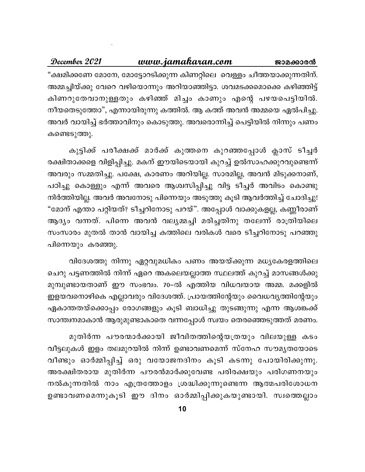### December 2021 www.jamakaran.com ജാമക്കാരൻ "ക്ഷമിക്കണേ മോനേ, മോട്ടോറടിക്കുന്ന കിണറ്റിലെ വെള്ളം ചീത്തയാക്കുന്നതിന്. അമ്മച്ചിയ്ക്കു വേറെ വഴിയൊന്നും അറിയാഞ്ഞിട്ടാ. ശവമടക്കമൊക്കെ കഴിഞ്ഞിട്ട് കിണറുതേവാനുള്ളതും കഴിഞ്ഞ് മിച്ചം കാണും എന്റെ പഴയപെട്ടിയിൽ. നീയതെടുത്തോ", എന്നായിരുന്നു കത്തിൽ. ആ കത്ത് അവൻ അമ്മയെ ഏൽപിച്ചു. അവർ വായിച്ച് ഭർത്താവിനും കൊടുത്തു. അവരൊന്നിച്ച് പെട്ടിയിൽ നിന്നും പണം കണ്ടെടുത്തു.

കുട്ടിക്ക് പരീക്ഷക്ക് മാർക്ക് കുത്തനെ കുറഞ്ഞപ്പോൾ ക്ലാസ് ടീച്ചർ രക്ഷിതാക്കളെ വിളിപ്പിച്ചു. മകന് ഈയിടെയായി കുറച്ച് ഉൽസാഹക്കുറവുണ്ടെന്ന് അവരും സമ്മതിച്ചു. പക്ഷേ, കാരണം അറിയില്ല. സാരമില്ല, അവൻ മിടുക്കനാണ്, പഠിച്ചു കൊള്ളും എന്ന് അവരെ ആശ്വസിപ്പിച്ചു വിട്ട ടീച്ചർ അവിടം കൊണ്ടു നിർത്തിയില്ല. അവർ അവനോടു പിന്നെയും അടുത്തു കൂടി ആവർത്തിച്ച് ചോദിച്ചു! "മോന് എന്താ പറ്റിയത്? ടീച്ചറിനോടു പറയ്". അപ്പോൾ വാക്കുകളല്ല, കണ്ണീരാണ് ആദ്യം വന്നത്. പിന്നെ അവൻ വല്യമ്മച്ചി മരിച്ചതിനു തലേന്ന് രാത്രിയിലെ സംസാരം മുതൽ താൻ വായിച്ച കത്തിലെ വരികൾ വരെ ടീച്ചറിനോടു പറഞ്ഞു പിന്നെയും കരഞ്ഞു.

വിദേശത്തു നിന്നു ഏറ്റവുമധികം പണം അയയ്ക്കുന്ന മധ്യകേരളത്തിലെ ചെറു പട്ടണത്തിൽ നിന്ന് ഏറെ അകലെയല്ലാത്ത സ്ഥലത്ത് കുറച്ച് മാസങ്ങൾക്കു മുമ്പുണ്ടായതാണ് ഈ സംഭവം. 70–ൽ എത്തിയ വിധവയായ അമ്മ. മക്കളിൽ ഇളയവനൊഴികെ എല്ലാവരും വിദേശത്ത്. പ്രായത്തിന്റേയും വൈധവൃത്തിന്റേയും ഏകാന്തതയ്ക്കൊപ്പം രോഗങ്ങളും കൂടി ബാധിച്ചു തുടങ്ങുന്നു എന്ന ആശങ്കക്ക് സാന്ത്വനമാകാൻ ആരുമുണ്ടാകാതെ വന്നപ്പോൾ സ്വയം തെരഞ്ഞെടുത്തത് മരണം.

മുതിർന്ന പൗരന്മാർക്കായി ജീവിതത്തിന്റെയത്രയും വിലയുള്ള കടം വീട്ടലുകൾ ഇളം തലമുറയിൽ നിന്ന് ഉണ്ടാവണമെന്ന് സ്നേഹ സൗമൃതയോടെ വീണ്ടും ഓർമ്മിപ്പിച്ച് ഒരു വയോജനദിനം കൂടി കടന്നു പോയിരിക്കുന്നു. അരക്ഷിതരായ മുതിർന്ന പൗരൻമാർക്കുവേണ്ട പരിരക്ഷയും പരിഗണനയും നൽകുന്നതിൽ നാം എത്രത്തോളം ശ്രദ്ധിക്കുന്നുണ്ടെന്ന ആത്മപരിശോധന ഉണ്ടാവണമെന്നുകൂടി ഈ ദിനം ഓർമ്മിപ്പിക്കുകയുണ്ടായി. സ്വത്തെല്ലാം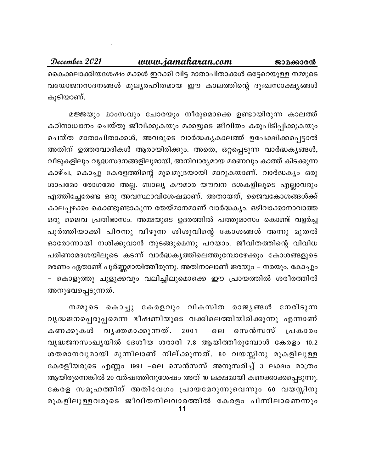December 2021 www.jamakaran.com ജാമക്കാരൻ കൈക്കലാക്കിയശേഷം മക്കൾ ഇറക്കി വിട്ട മാതാപിതാക്കൾ ഒട്ടേറെയുള്ള നമ്മുടെ വയോജനസദനങ്ങൾ മൂല്യരഹിതമായ ഈ കാലത്തിന്റെ ദുഃഖസാക്ഷ്യങ്ങൾ കൂടിയാണ്.

മജ്ജയും മാംസവും ചോരയും നീരുമൊക്കെ ഉണ്ടായിരുന്ന കാലത്ത് കഠിനാധ്വാനം ചെയ്തു ജീവിക്കുകയും മക്കളുടെ ജീവിതം കരുപിടിപ്പിക്കുകയും ചെയ്ത മാതാപിതാക്കൾ, അവരുടെ വാർദ്ധകൃകാലത്ത് ഉപേക്ഷിക്കപ്പെട്ടാൽ അതിന് ഉത്തരവാദികൾ ആരായിരിക്കും. അതെ, ഒറ്റപ്പെടുന്ന വാർദ്ധകൃങ്ങൾ, വീടുകളിലും വൃദ്ധസദനങ്ങളിലുമായി, അനിവാര്യമായ മരണവും കാത്ത് കിടക്കുന്ന കാഴ്ച, കൊച്ചു കേരളത്തിന്റെ മുഖമുദ്രയായി മാറുകയാണ്. വാർദ്ധകൃം ഒരു ശാപമോ രോഗമോ അല്ല. ബാല്യ–കൗമാര–യൗവന ദശകളിലൂടെ എല്ലാവരും എത്തിച്ചേരേണ്ട ഒരു അവസ്ഥാവിശേഷമാണ്. അതായത്, ജൈവകോശങ്ങൾക്ക് കാലപ്പഴക്കം കൊണ്ടുണ്ടാകുന്ന തേയ്മാനമാണ് വാർദ്ധക്യം. ഒഴിവാക്കാനാവാത്ത ഒരു ജൈവ പ്രതിഭാസം. അമ്മയുടെ ഉദരത്തിൽ പത്തുമാസം കൊണ്ട് വളർച്ച പൂർത്തിയാക്കി പിറന്നു വീഴുന്ന ശിശുവിന്റെ കോശങ്ങൾ അന്നു മുതൽ ഓരോന്നായി നശിക്കുവാൻ തുടങ്ങുമെന്നു പറയാം. ജീവിതത്തിന്റെ വിവിധ പരിണാമദശയിലൂടെ കടന്ന് വാർദ്ധകൃത്തിലെത്തുമ്പോഴേക്കും കോശങ്ങളുടെ മരണം ഏതാണ്ട് പൂർണ്ണമായിത്തീരുന്നു. അതിനാലാണ് ജരയും – നരയും, കോച്ചും – കൊളുത്തു ചുളുക്കവും വലിച്ചിലുമൊക്കെ ഈ പ്രായത്തിൽ ശരീരത്തിൽ അനുഭവപ്പെടുന്നത്.

നമ്മുടെ കൊച്ചു കേരളവും വികസിത രാജൃങ്ങൾ നേരിടുന്ന വൃദ്ധജനപ്പെരുപ്പമെന്ന ഭീഷണിയുടെ വക്കിലെത്തിയിരിക്കുന്നു എന്നാണ് കണക്കുകൾ വൃക്തമാക്കുന്നത്. 2001 −ലെ സെൻസസ് പ്രകാരം വൃദ്ധജനസംഖ്യയിൽ ദേശീയ ശരാരി 7.8 ആയിത്തീരുമ്പോൾ കേരളം 10.2 ശതമാനവുമായി മുന്നിലാണ് നില്ക്കുന്നത്. 80 വയസ്സിനു മുകളിലുള്ള കേരളീയരുടെ എണ്ണം 1991 −ലെ സെൻസസ് അനുസരിച്ച് 3 ലക്ഷം മാത്രം ആയിരുന്നെങ്കിൽ 20 വർഷത്തിനുശേഷം അത് 10 ലക്ഷമായി കണക്കാക്കപ്പെടുന്നു. കേരള സമൂഹത്തിന് അതിവേഗം പ്രായമേറുന്നുവെന്നും 60 വയസ്സിനു മുകളിലുള്ളവരുടെ ജീവിതനിലവാരത്തിൽ കേരളം പിന്നിലാണെന്നും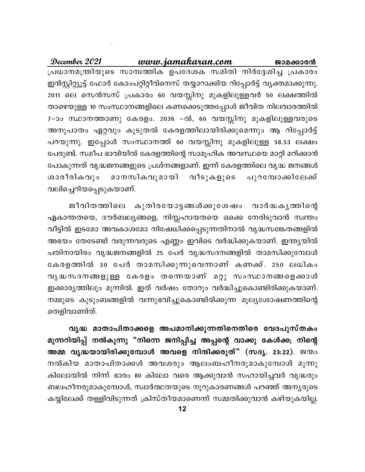www.jamakaran.com December 2021 ജാമക്കാരൻ പ്രധാനമന്ത്രിയുടെ സാമ്പത്തിക ഉപദേശക സമിതി നിർദ്ദേശിച്ച പ്രകാരം ഇൻസ്റ്റിറ്റ്യൂട്ട് ഫോർ കോംപറ്റിറ്റീവ്നെസ് തയ്യാറാക്കിയ റിപ്പോർട്ട് വ്യക്തമാക്കുന്നു. 2011 ലെ സെൻസസ് പ്രകാരം 60 വയസ്സിനു മുകളിലുള്ളവർ 50 ലക്ഷത്തിൽ താഴെയുള്ള 10 സംസ്ഥാനങ്ങളിലെ കണക്കെടുത്തപ്പോൾ ജീവിത നിലവാരത്തിൽ 7-ാം സ്ഥാനത്താണു കേരളം. 2036 -ൽ, 60 വയസ്സിനു മുകളിലുള്ളവരുടെ അനുപാതം ഏറ്റവും കൂടുതൽ കേരളത്തിലായിരിക്കുമെന്നും ആ റിപ്പോർട്ട് പറയുന്നു. ഇപ്പോൾ സംസ്ഥാനത്ത് 60 വയസ്സിനു മുകളിലുള്ള 58.53 ലക്ഷം പേരുണ്ട്. സമീപ ഭാവിയിൽ കേരളത്തിന്റെ സാമൂഹിക അവസ്ഥയെ മാറ്റി മറിക്കാൻ പോകുന്നത് വൃദ്ധജനങ്ങളുടെ പ്രശ്നങ്ങളാണ്. ഇന്ന് കേരളത്തിലെ വൃദ്ധ ജനങ്ങൾ ശാരീരികവും മാനസികവുമായി വീടുകളുടെ പുറമ്പോക്കിലേക്ക് വലിച്ചെറിയപ്പെടുകയാണ്.

ജീവിതത്തിലെ കുതിരയോട്ടങ്ങൾക്കുശേഷം വാർദ്ധകൃത്തിന്റെ ഏകാന്തതയെ, ദൗർബല്യങ്ങളെ, നിസ്സഹായതയെ ഒക്കെ നേരിടുവാൻ സ്വന്തം വീട്ടിൽ ഇടമോ അവകാശമോ നിഷേധിക്കപ്പെടുന്നതിനാൽ വൃദ്ധസങ്കേതങ്ങളിൽ അഭയം തേടേണ്ടി വരുന്നവരുടെ എണ്ണം ഇവിടെ വർദ്ധിക്കുകയാണ്. ഇന്ത്യയിൽ പതിനായിരം വൃദ്ധജനങ്ങളിൽ 25 പേർ വൃദ്ധസദനങ്ങളിൽ താമസിക്കുമ്പോൾ കേരളത്തിൽ 30 പേർ താമസിക്കുന്നുവെന്നാണ് കണക്ക്. 250 ലധികം വൃദ്ധസദനങ്ങളുള്ള കേരളം തന്നെയാണ് മറ്റു സംസ്ഥാനങ്ങളെക്കാൾ ഇക്കാരൃത്തിലും മുന്നിൽ. ഇത് വർഷം തോറും വർദ്ധിച്ചുകൊണ്ടിരിക്കുകയാണ്. നമ്മുടെ കുടുംബങ്ങളിൽ വന്നുഭവിച്ചുകൊണ്ടിരിക്കുന്ന മൂല്യശോഷണത്തിന്റെ തെളിവാണിത്.

വൃദ്ധ മാതാപിതാക്കളെ അപമാനിക്കുന്നതിനെതിരെ വേദപുസ്തകം മുന്നറിയിപ്പ് നൽകുന്നു "നിന്നെ ജനിപ്പിച്ച അപ്പന്റെ വാക്കു കേൾക്ക; നിന്റെ അമ്മ വൃദ്ധയായിരിക്കുമ്പോൾ അവളെ നിന്ദിക്കരുത്" (സദൃ. 23:22). ജന്മം നൽകിയ മാതാപിതാക്കൾ അവശരും ആലംബഹീനരുമാകുമ്പോൾ മൂന്നു കിലോയിൽ നിന്ന് ഭാരം 80 കിലോ വരെ ആക്കുവാൻ സഹായിച്ചവർ വൃദ്ധരും ബലഹീനരുമാകുമ്പോൾ, സ്വാർത്ഥതയുടെ നൂറുകാരണങ്ങൾ പറഞ്ഞ് അനൃരുടെ കയ്യിലേക്ക് തള്ളിവിടുന്നത് ക്രിസ്തീയമാണെന്ന് സമ്മതിക്കുവാൻ കഴിയുകയില്ല.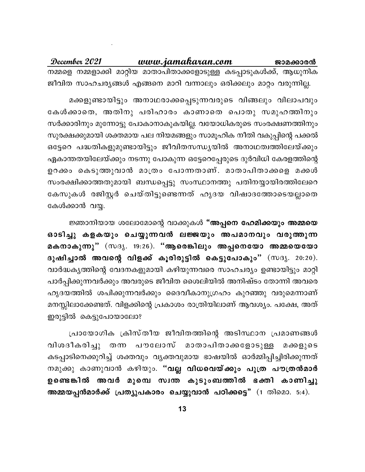www.jamakaran.com December 2021 ജാമക്കാരൻ നമ്മളെ നമ്മളാക്കി മാറ്റിയ മാതാപിതാക്കളോടുള്ള കടപ്പാടുകൾക്ക്, ആധുനിക ജീവിത സാഹചര്യങ്ങൾ എങ്ങനെ മാറി വന്നാലും ഒരിക്കലും മാറ്റം വരുന്നില്ല.

മക്കളുണ്ടായിട്ടും അനാഥരാക്കപ്പെടുന്നവരുടെ വിങ്ങലും വിലാപവും കേൾക്കാതെ, അതിനു പരിഹാരം കാണാതെ പൊതു സമുഹത്തിനും സർക്കാരിനും മുന്നോട്ടു പോകാനാകുകയില്ല. വയോധികരുടെ സംരക്ഷണത്തിനും സുരക്ഷക്കുമായി ശക്തമായ പല നിയമങ്ങളും സാമൂഹിക നീതി വകുപ്പിന്റെ പക്കൽ ഒട്ടേറെ പദ്ധതികളുമുണ്ടായിട്ടും ജീവിതസന്ധ്യയിൽ അനാഥത്വത്തിലേയ്ക്കും ഏകാന്തതയിലേയ്ക്കും നടന്നു പോകുന്ന ഒട്ടേറെപ്പേരുടെ ദുർവിധി കേരളത്തിന്റെ ഉറക്കം കെടുത്തുവാൻ മാത്രം പോന്നതാണ്. മാതാപിതാക്കളെ മക്കൾ സംരക്ഷിക്കാത്തതുമായി ബന്ധപ്പെട്ടു സംസ്ഥാനത്തു പതിനയ്യായിരത്തിലേറെ കേസുകൾ രജിസ്റ്റർ ചെയ്തിട്ടുണ്ടെന്നത് ഹൃദയ വിഷാദത്തോടെയല്ലാതെ കേൾക്കാൻ വയ്യ.

ജ്ഞാനിയായ ശലോമോന്റെ വാക്കുകൾ "അപ്പനെ ഹേമിക്കയും അമ്മയെ ഓടിച്ചു കളകയും ചെയ്യുന്നവൻ ലജ്ജയും അപമാനവും വരുത്തുന്ന മകനാകുന്നു" (സദൃ. 19:26). "ആരെങ്കിലും അപ്പനെയോ അമ്മയെയോ ദുഷിച്ചാൽ അവന്റെ വിളക്ക് കൂരിരുട്ടിൽ കെട്ടുപോകും" (സദൃ. 20:20). വാർദ്ധകൃത്തിന്റെ വേദനകളുമായി കഴിയുന്നവരെ സാഹചര്യം ഉണ്ടായിട്ടും മാറ്റി പാർപ്പിക്കുന്നവർക്കും അവരുടെ ജീവിത ശൈലിയിൽ അനിഷ്ടം തോന്നി അവരെ ഹൃദയത്തിൽ ശപിക്കുന്നവർക്കും ദൈവീകാനുഗ്രഹം കുറഞ്ഞു വരുമെന്നാണ് മനസ്സിലാക്കേണ്ടത്. വിളക്കിന്റെ പ്രകാശം രാത്രിയിലാണ് ആവശ്യം. പക്ഷേ, അത് ഇരുട്ടിൽ കെട്ടുപോയാലോ?

പ്രായോഗിക ക്രിസ്തീയ ജീവിതത്തിന്റെ അടിസ്ഥാന പ്രമാണങ്ങൾ വിശദീകരിച്ചു തന്ന പൗലോസ് മാതാപിതാക്കളോടുള്ള മക്കളുടെ കടപ്പാടിനെക്കുറിച്ച് ശക്തവും വൃക്തവുമായ ഭാഷയിൽ ഓർമ്മിപ്പിച്ചിരിക്കുന്നത് നമുക്കു കാണുവാൻ കഴിയും. "<mark>വല്ല വിധവെയ്ക്കും പുത്ര പൗത്രൻമാർ</mark> ഉണ്ടെങ്കിൽ അവർ മുമ്പെ സ്വന്ത കുടുംബത്തിൽ ഭക്തി കാണിച്ചു അമ്മയപ്പൻമാർക്ക് പ്രത്യുപകാരം ചെയ്യുവാൻ പഠിക്കട്ടെ" (1 തിമൊ. 5:4).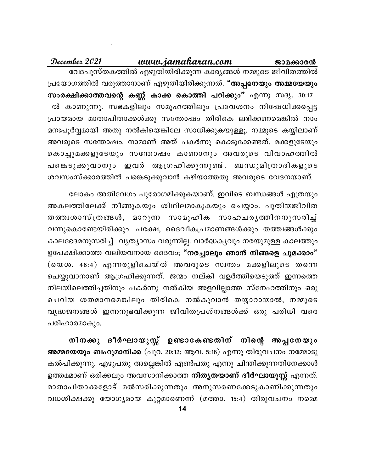December 2021 www.jamakaran.com ജാമക്കാരൻ വേദപുസ്തകത്തിൽ എഴുതിയിരിക്കുന്ന കാര്യങ്ങൾ നമ്മുടെ ജീവിതത്തിൽ പ്രയോഗത്തിൽ വരുത്താനാണ് എഴുതിയിരിക്കുന്നത്. "അപ്പനേയും അമ്മയേയും സംരക്ഷിക്കാത്തവന്റെ കണ്ണ് കാക്ക കൊത്തി പറിക്കും" എന്നു സദൃ. 30:17 –ൽ കാണുന്നു. സഭകളിലും സമൂഹത്തിലും പ്രവേശനം നിഷേധിക്കപ്പെട്ട പ്രായമായ മാതാപിതാക്കൾക്കു സന്തോഷം തിരികെ ലഭിക്കണമെങ്കിൽ നാം മനഃപൂർവ്വമായി അതു നൽകിയെങ്കിലേ സാധിക്കുകയുള്ളൂ. നമ്മുടെ കയ്യിലാണ് അവരുടെ സന്തോഷം. നാമാണ് അത് പകർന്നു കൊടുക്കേണ്ടത്. മക്കളുടേയും കൊച്ചുമക്കളുടേയും സന്തോഷം കാണാനും അവരുടെ വിവാഹത്തിൽ പങ്കെടുക്കുവാനും ഇവർ ആഗ്രഹിക്കുന്നുണ്ട്. ബന്ധുമിത്രാദികളുടെ ശവസംസ്ക്കാരത്തിൽ പങ്കെടുക്കുവാൻ കഴിയാത്തതു അവരുടെ വേദനയാണ്.

ലോകം അതിവേഗം പുരോഗമിക്കുകയാണ്. ഇവിടെ ബന്ധങ്ങൾ എത്രയും അകലത്തിലേക്ക് നീങ്ങുകയും ശിഥിലമാകുകയും ചെയ്യാം. പുതിയജീവിത തത്തിശാസ്ത്രങ്ങൾ, മാറുന്ന സാമൂഹിക സാഹചരൃത്തിനനുസരിച്ച് വന്നുകൊണ്ടേയിരിക്കും. പക്ഷേ, ദൈവീകപ്രമാണങ്ങൾക്കും തത്ത്വങ്ങൾക്കും കാലഭേദമനുസരിച്ച് വൃത്യാസം വരുന്നില്ല. വാർദ്ധകൃവും നരയുമുള്ള കാലത്തും ഉപേക്ഷിക്കാത്ത വലിയവനായ ദൈവം; "നരച്ചാലും ഞാൻ നിങ്ങളെ ചുമക്കാം" (യെശ. 46:4) എന്നരുളിചെയ്ത് അവരുടെ സ്വന്തം മക്കളിലൂടെ തന്നെ ചെയ്യുവാനാണ് ആഗ്രഹിക്കുന്നത്. ജന്മം നല്കി വളർത്തിയെടുത്ത് ഇന്നത്തെ നിലയിലെത്തിച്ചതിനും പകർന്നു നൽകിയ അളവില്ലാത്ത സ്നേഹത്തിനും ഒരു ചെറിയ ശതമാനമെങ്കിലും തിരികെ നൽകുവാൻ തയ്യാറായാൽ, നമ്മുടെ വൃദ്ധജനങ്ങൾ ഇന്നനുഭവിക്കുന്ന ജീവിതപ്രശ്നങ്ങൾക്ക് ഒരു പരിധി വരെ പരിഹാരമാകും.

നിനക്കു ദീർഘായുസ്സ് ഉണ്ടാകേണ്ടതിന് നിന്റെ അപ്പനേയും അമ്മയേയും ബഹുമാനിക്ക (പുറ. 20:12; ആവ. 5:16) എന്നു തിരുവചനം നമ്മോടു കൽപിക്കുന്നു. എഴുപതു അല്ലെങ്കിൽ എൺപതു എന്നു ചിന്തിക്കുന്നതിനേക്കാൾ ഉത്തമമാണ് ഒരിക്കലും അവസാനിക്കാത്ത <mark>നിതൃതയാണ് ദീർഘായുസ്സ്</mark> എന്നത്. മാതാപിതാക്കളോട് മൽസരിക്കുന്നതും അനുസരണക്കേടുകാണിക്കുന്നതും വധശിക്ഷക്കു യോഗൃമായ കുറ്റമാണെന്ന് (മത്താ. 15:4) തിരുവചനം നമ്മെ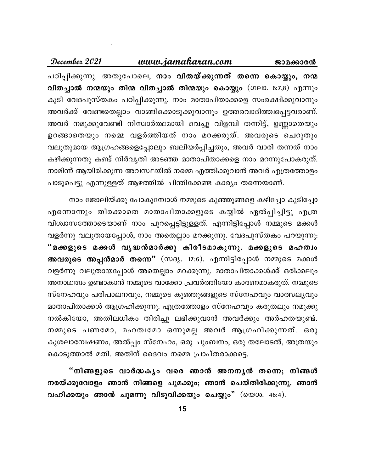#### December 2021 www.jamakaran.com ജാമക്കാരൻ

പഠിപ്പിക്കുന്നു. അതുപോലെ, <mark>നാം വിതയ്ക്കുന്നത് തന്നെ കൊയ്യും, നന്</mark>മ വിതച്ചാൽ നന്മയും തിന്മ വിതച്ചാൽ തിന്മയും കൊയ്യും (ഗലാ. 6:7,8) എന്നും കൂടി വേദപുസ്തകം പഠിപ്പിക്കുന്നു. നാം മാതാപിതാക്കളെ സംരക്ഷിക്കുവാനും അവർക്ക് വേണ്ടതെല്ലാം വാങ്ങിക്കൊടുക്കുവാനും ഉത്തരവാദിത്ത്വപ്പെട്ടവരാണ്. അവർ നമുക്കുവേണ്ടി നിസ്വാർത്ഥമായി വെച്ചു വിളമ്പി തന്നിട്ട്, ഉണ്ണാതെയും ഉറങ്ങാതെയും നമ്മെ വളർത്തിയത് നാം മറക്കരുത്. അവരുടെ ചെറുതും വലുതുമായ ആഗ്രഹങ്ങളെപ്പോലും ബലിയർപ്പിച്ചതും, അവർ വാരി തന്നത് നാം കഴിക്കുന്നതു കണ്ട് നിർവൃതി അടഞ്ഞ മാതാപിതാക്കളെ നാം മറന്നുപോകരുത്. നാമിന്ന് ആയിരിക്കുന്ന അവസ്ഥയിൽ നമ്മെ എത്തിക്കുവാൻ അവർ എത്രത്തോളം പാടുപെട്ടു എന്നുള്ളത് ആഴത്തിൽ ചിന്തിക്കേണ്ട കാര്യം തന്നെയാണ്.

നാം ജോലിയ്ക്കു പോകുമ്പോൾ നമ്മുടെ കുഞ്ഞുങ്ങളെ കഴിച്ചോ കുടിച്ചോ എന്നൊന്നും തിരക്കാതെ മാതാപിതാക്കളുടെ കയ്യിൽ ഏൽപ്പിച്ചിട്ടു എത്ര വിശ്വാസത്തോടെയാണ് നാം പുറപ്പെട്ടിട്ടുള്ളത്. എന്നിട്ടിപ്പോൾ നമ്മുടെ മക്കൾ വളർന്നു വലുതായപ്പോൾ, നാം അതെല്ലാം മറക്കുന്നു. വേദപുസ്തകം പറയുന്നു: "മക്കളുടെ മക്കൾ വൃദ്ധൻമാർക്കു കിരീടമാകുന്നു. മക്കളുടെ മഹത്വം അവരുടെ അപ്പൻമാർ തന്നെ" (സദൃ. 17:6). എന്നിട്ടിപ്പോൾ നമ്മുടെ മക്കൾ വളർന്നു വലുതായപ്പോൾ അതെല്ലാം മറക്കുന്നു. മാതാപിതാക്കൾക്ക് ഒരിക്കലും അനാഥത്വം ഉണ്ടാകാൻ നമ്മുടെ വാക്കോ പ്രവർത്തിയോ കാരണമാകരുത്. നമ്മുടെ സ്നേഹവും പരിപാലനവും, നമ്മുടെ കുഞ്ഞുങ്ങളുടെ സ്നേഹവും വാത്സല്യവും മാതാപിതാക്കൾ ആഗ്രഹിക്കുന്നു. എത്രത്തോളം സ്നേഹവും കരുതലും നമുക്കു നൽകിയോ, അതിലധികം തിരിച്ചു ലഭിക്കുവാൻ അവർക്കും അർഹതയുണ്ട്. നമ്മുടെ പണമോ, മഹത്വമോ ഒന്നുമല്ല അവർ ആഗ്രഹിക്കുന്നത്. ഒരു കുശലാന്വേഷണം, അൽപ്പം സ്നേഹം, ഒരു ചുംബനം, ഒരു തലോടൽ, അത്രയും കൊടുത്താൽ മതി. അതിന് ദൈവം നമ്മെ പ്രാപ്തരാക്കട്ടെ.

"നിങ്ങളുടെ വാർദ്ധകൃം വരെ ഞാൻ അനനൃൻ തന്നെ; നിങ്ങൾ നരയ്ക്കുവോളം ഞാൻ നിങ്ങളെ ചുമക്കും; ഞാൻ ചെയ്തിരിക്കുന്നു. ഞാൻ വഹിക്കയും ഞാൻ ചുമന്നു വിടുവിക്കയും ചെയ്യും" (യെശ. 46:4).